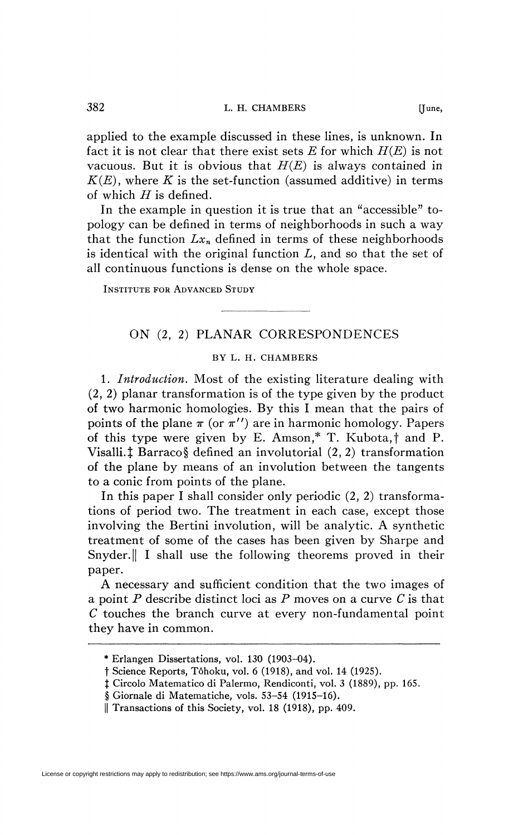applied to the example discussed in these lines, is unknown. In fact it is not clear that there exist sets *E* for which *H(E)* is not vacuous. But it is obvious that *H(E)* is always contained in  $K(E)$ , where K is the set-function (assumed additive) in terms of which *H* is defined.

In the example in question it is true that an "accessible" topology can be defined in terms of neighborhoods in such a way that the function  $Lx_n$  defined in terms of these neighborhoods is identical with the original function  $L$ , and so that the set of all continuous functions is dense on the whole space.

INSTITUTE FOR ADVANCED STUDY

## ON (2, 2) PLANAR CORRESPONDENCES

## BY L. H. CHAMBERS

1. *Introduction.* Most of the existing literature dealing with (2, 2) planar transformation is of the type given by the product of two harmonic homologies. By this I mean that the pairs of points of the plane  $\pi$  (or  $\pi$ ") are in harmonic homology. Papers of this type were given by E. Amson,\* T. Kubota, $\dagger$  and P. Visalli. $\ddagger$  Barraco§ defined an involutorial (2, 2) transformation of the plane by means of an involution between the tangents to a conic from points of the plane.

In this paper I shall consider only periodic (2, 2) transformations of period two. The treatment in each case, except those involving the Bertini involution, will be analytic. A synthetic treatment of some of the cases has been given by Sharpe and Snyder. || I shall use the following theorems proved in their paper.

A necessary and sufficient condition that the two images of a point *P* describe distinct loci as *P* moves on a curve *C* is that *C* touches the branch curve at every non-fundamental point they have in common.

License or copyright restrictions may apply to redistribution; see https://www.ams.org/journal-terms-of-use

<sup>\*</sup> Erlangen Dissertations, vol. 130 (1903-04).

t Science Reports, Tôhoku, vol. 6 (1918), and vol. 14 (1925).

*<sup>%</sup>* Circolo Matematico di Palermo, Rendiconti, vol. 3 (1889), pp. 165.

<sup>§</sup> Giornale di Matematiche, vols. 53-54 (1915-16).

<sup>||</sup> Transactions of this Society, vol. 18 (1918), pp. 409.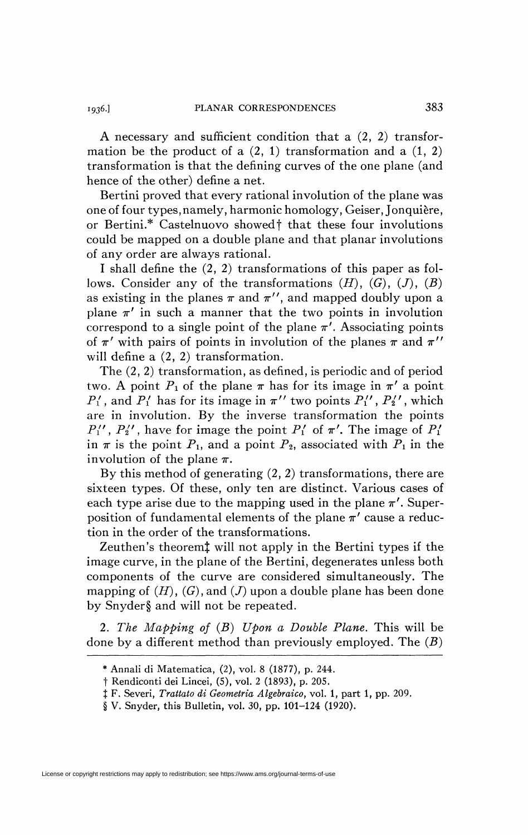A necessary and sufficient condition that a (2, 2) transformation be the product of a  $(2, 1)$  transformation and a  $(1, 2)$ transformation is that the defining curves of the one plane (and hence of the other) define a net.

Bertini proved that every rational involution of the plane was one of four types, namely, harmonic homology, Geiser, Jonquière, or Bertini.\* Castelnuovo showed f that these four involutions could be mapped on a double plane and that planar involutions of any order are always rational.

I shall define the (2, 2) transformations of this paper as follows. Consider any of the transformations  $(H)$ ,  $(G)$ ,  $(J)$ ,  $(B)$ as existing in the planes  $\pi$  and  $\pi''$ , and mapped doubly upon a plane  $\pi'$  in such a manner that the two points in involution correspond to a single point of the plane  $\pi'$ . Associating points of  $\pi'$  with pairs of points in involution of the planes  $\pi$  and  $\pi''$ will define a  $(2, 2)$  transformation.

The (2, 2) transformation, as defined, is periodic and of period two. A point  $P_1$  of the plane  $\pi$  has for its image in  $\pi'$  a point  $P'_1$ , and  $P'_1$  has for its image in  $\pi''$  two points  $P'_1$ ,  $P'_2$ , which are in involution. By the inverse transformation the points  $P_1''$ ,  $P_2''$ , have for image the point  $P_1'$  of  $\pi'$ . The image of  $P_1'$ in  $\pi$  is the point  $P_1$ , and a point  $P_2$ , associated with  $P_1$  in the involution of the plane  $\pi$ .

By this method of generating  $(2, 2)$  transformations, there are sixteen types. Of these, only ten are distinct. Various cases of each type arise due to the mapping used in the plane  $\pi'$ . Superposition of fundamental elements of the plane  $\pi'$  cause a reduction in the order of the transformations.

Zeuthen's theoremj will not apply in the Bertini types if the image curve, in the plane of the Bertini, degenerates unless both components of the curve are considered simultaneously. The mapping of *(H)*, *(G)*, and *(J)* upon a double plane has been done by Snyder§ and will not be repeated.

2. *The Mapping of (B) Upon a Double Plane.* This will be done by a different method than previously employed. The *(B)* 

License or copyright restrictions may apply to redistribution; see https://www.ams.org/journal-terms-of-use

*<sup>\*</sup>* Annali di Matematica, (2), vol. 8 (1877), p. 244.

t Rendiconti dei Lincei, (5), vol. 2 (1893), p. 205.

*t* F. Severi, *Trattato di Geometria Algebraico,* vol. 1, part 1, pp. 209.

<sup>§</sup> V. Snyder, this Bulletin, vol. 30, pp. 101-124 (1920).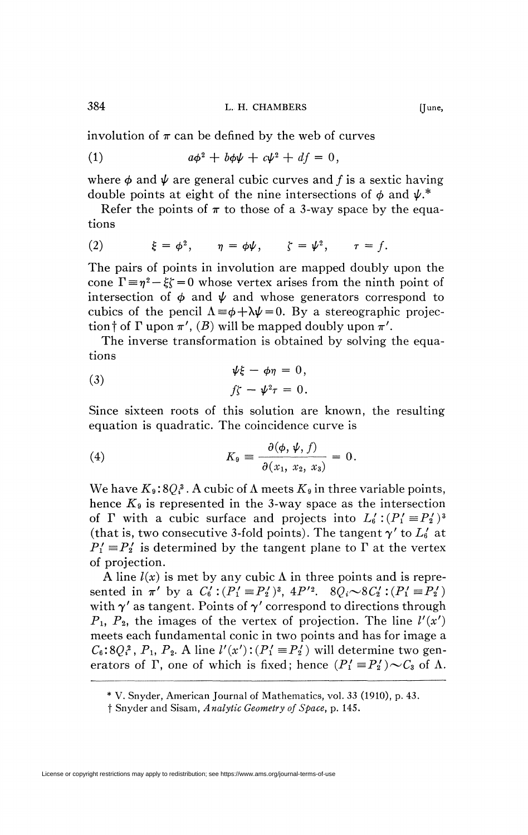involution of  $\pi$  can be defined by the web of curves

(1) 
$$
a\phi^2 + b\phi\psi + c\psi^2 + df = 0,
$$

where  $\phi$  and  $\psi$  are general cubic curves and f is a sextic having double points at eight of the nine intersections of  $\phi$  and  $\psi$ <sup>\*</sup>

Refer the points of  $\pi$  to those of a 3-way space by the equations

(2) 
$$
\xi = \phi^2
$$
,  $\eta = \phi \psi$ ,  $\zeta = \psi^2$ ,  $\tau = f$ .

The pairs of points in involution are mapped doubly upon the cone  $\Gamma = \eta^2 - \xi \zeta = 0$  whose vertex arises from the ninth point of intersection of  $\phi$  and  $\psi$  and whose generators correspond to cubics of the pencil  $\Lambda = \phi + \lambda \psi = 0$ . By a stereographic projection  $\dagger$  of  $\Gamma$  upon  $\pi'$ ,  $(B)$  will be mapped doubly upon  $\pi'$ .

The inverse transformation is obtained by solving the equations

(3) 
$$
\psi\xi - \phi\eta = 0,
$$

$$
f\zeta - \psi^2\tau = 0.
$$

Since sixteen roots of this solution are known, the resulting equation is quadratic. The coincidence curve is

(4) 
$$
K_{9} \equiv \frac{\partial(\phi, \psi, f)}{\partial(x_{1}, x_{2}, x_{3})} = 0.
$$

We have  $K_9: 8Q_3^3$ . A cubic of  $\Lambda$  meets  $K_9$  in three variable points, hence  $K_{9}$  is represented in the 3-way space as the intersection of  $\Gamma$  with a cubic surface and projects into  $L_6'$ :  $(P_1' \equiv P_2')^3$ (that is, two consecutive 3-fold points). The tangent  $\gamma'$  to  $L'_6$  at  $P_1' \equiv P_2'$  is determined by the tangent plane to  $\Gamma$  at the vertex of projection.

A line  $l(x)$  is met by any cubic  $\Lambda$  in three points and is represented in  $\pi'$  by a  $C'_0$  :  $(P'_1 \equiv P'_2)^3$ ,  $4P'^2$ .  $8Q_i \sim 8C'_2$  :  $(P'_1 \equiv P'_2')$ with  $\gamma'$  as tangent. Points of  $\gamma'$  correspond to directions through  $P_1$ ,  $P_2$ , the images of the vertex of projection. The line  $l'(x')$ meets each fundamental conic in two points and has for image a  $C_6$ :  $8Q_i^2$ ,  $P_1$ ,  $P_2$ . A line  $l'(x')$ :  $(P'_1 \equiv P'_2)$  will determine two generators of  $\Gamma$ , one of which is fixed; hence  $(P'_1 \equiv P'_2) \sim C_3$  of  $\Lambda$ .

<sup>\*</sup> V. Snyder, American Journal of Mathematics, vol. 33 (1910), p. 43.

f Snyder and Sisam, *Analytic Geometry of Space,* p. 145.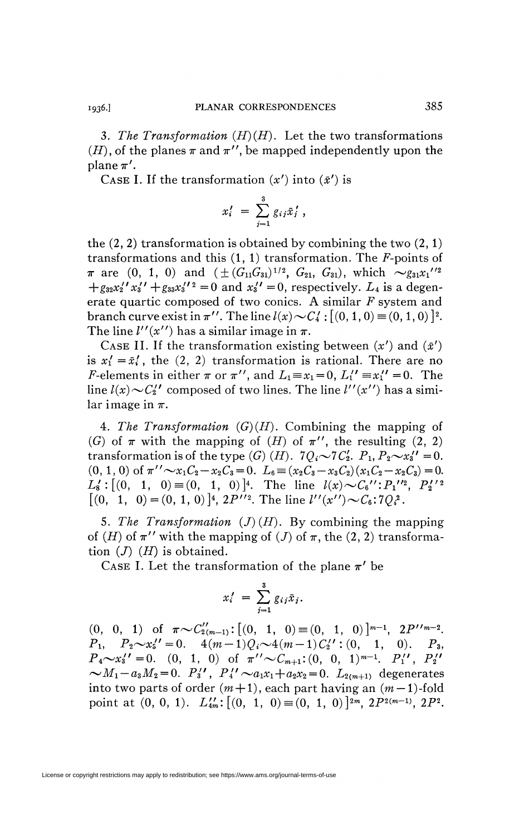3. The Transformation  $(H)(H)$ . Let the two transformations  $(H)$ , of the planes  $\pi$  and  $\pi''$ , be mapped independently upon the plane  $\pi'$ .

CASE I. If the transformation  $(x')$  into  $(\bar{x}')$  is

$$
x_i' = \sum_{j=1}^3 g_{ij} \bar{x}_j',
$$

the  $(2, 2)$  transformation is obtained by combining the two  $(2, 1)$ transformations and this (1,1) transformation. The *F-*points of  $\pi$  are (0, 1, 0) and  $(\pm (G_{11}G_{31})^{1/2}, G_{21}, G_{31})$ , which  $\sim g_{31}x_1''^{2}$  $+g_{32}x_2''x_3'' + g_{33}x_3''^2 = 0$  and  $x_3'' = 0$ , respectively.  $L_4$  is a degenerate quartic composed of two conies. A similar *F* system and branch curve exist in  $\pi''$ . The line  $l(x) \sim C_4'$ :  $[(0, 1, 0) \equiv (0, 1, 0)]^2$ . The line  $l''(x'')$  has a similar image in  $\pi$ .

CASE II. If the transformation existing between  $(x')$  and  $(\bar{x}')$ is  $x'_1 = \bar{x}'_1$ , the (2, 2) transformation is rational. There are no *F*-elements in either  $\pi$  or  $\pi''$ , and  $L_1 \equiv x_1 = 0$ ,  $L_1'' \equiv x_1'' = 0$ . The line  $l(x) \sim C_2''$  composed of two lines. The line  $l''(x'')$  has a similar image in  $\pi$ .

4. The Transformation  $(G)(H)$ . Combining the mapping of *(G)* of  $\pi$  with the mapping of *(H)* of  $\pi$ <sup>''</sup>, the resulting (2, 2) transformation is of the type  $(G)$   $(H)$ .  $7Q_i \sim 7C'_2$ .  $P_1$ ,  $P_2 \sim x'_3$ ' = 0.  $(0, 1, 0)$  of  $\pi'' \sim x_1C_2 - x_2C_3 = 0$ .  $L_6 = (x_2C_3 - x_3C_2)(x_1C_2 - x_2C_3) = 0$ .  $L'_8: [(0, 1, 0) \equiv (0, 1, 0)]^4$ . The line  $l(x) \sim C_6''': P_1''{}^2$ ,  $P_2'{}'{}^2$  $[(0, 1, 0) = (0, 1, 0)]^4$ ,  $2P''^2$ . The line  $l''(x'') \sim C_6$ :  $7Q_i^2$ .

5. The Transformation  $(J)(H)$ . By combining the mapping of *(H)* of  $\pi$ " with the mapping of *(J)* of  $\pi$ , the (2, 2) transformation (7) *(H)* is obtained.

CASE I. Let the transformation of the plane  $\pi'$  be

$$
x_i' = \sum_{j=1}^3 g_{ij} \bar{x}_j.
$$

(0, 0, 1) of  $\pi \sim C''_{2(m-1)}$ : [(0, 1, 0)  $\equiv$  (0, 1, 0)]<sup>*m*-1</sup>, 2P''*m*-2.  $P_1, P_2 \sim x_5'' = 0.$   $4(m-1)Q_i \sim 4(m-1)C_2''$ : (0, 1, 0).  $P_3$ ,  $P_4 \sim x_3'' = 0.$  (0, 1, 0) of  $\pi'' \sim C_{m+1} : (0, 0, 1)^{m-1}$ .  $P_1''$ ,  $P_2''$  $\sim M_1 - a_3 M_2 = 0$ .  $P_3'$ ,  $P_4' \sim a_1 x_1 + a_2 x_2 = 0$ .  $L_{2(m+1)}$  degenerates into two parts of order  $(m+1)$ , each part having an  $(m-1)$ -fold point at  $(0, 0, 1)$ .  $L'_{4m}$ :  $[(0, 1, 0) \equiv (0, 1, 0)]^{2m}$ ,  $2P^{2(m-1)}$ ,  $2P^2$ .

1936.]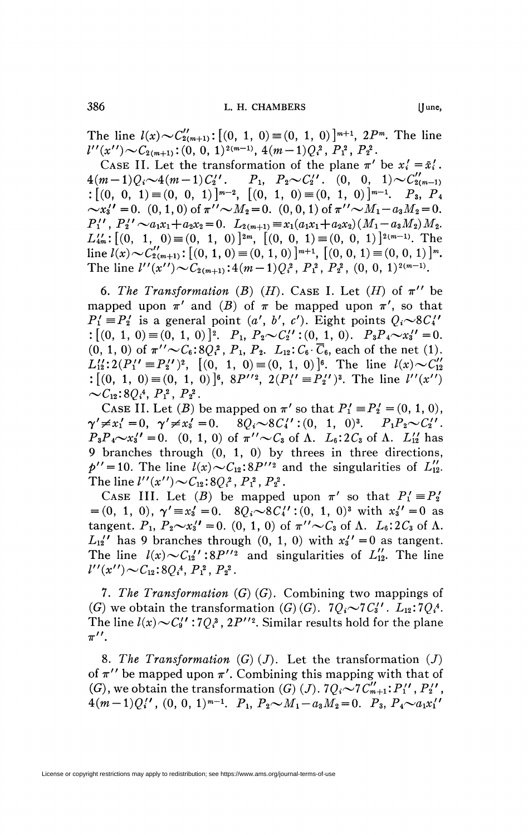The line  $l(x) \sim C''_{2(m+1)}$ :  $[(0, 1, 0) \equiv (0, 1, 0)]^{m+1}$ ,  $2P^m$ . The line  $l''(x'') \sim C_{2(m+1)}$ : (0, 0, 1)<sup>2(m-1)</sup>, 4(m - 1) $Q_i^2$ ,  $P_1^2$ ,  $P_2^2$ .

CASE II. Let the transformation of the plane  $\pi'$  be  $x'_i = \bar{x}'_i$ .  $4(m-1)Q_i \sim 4(m-1)C'_2$ ' .  $P_1$ ,  $P_2 \sim C'_2$ ' .  $(0, 0, 1) \sim C'_{2(m-1)}$  $:\left[ \begin{pmatrix} 0, 0, 1 \end{pmatrix} \equiv \left( 0, 0, 1 \right) \right]^{m-2}, \ \left[ \begin{pmatrix} 0, 1, 0 \end{pmatrix} \equiv \left( 0, 1, 0 \right) \right]^{m-1}$ .  $P_3, P_4$  $\sim x_3'' = 0$ .  $(0, 1, 0)$  of  $\pi'' \sim M_2 = 0$ .  $(0, 0, 1)$  of  $\pi'' \sim M_1 - a_3 M_2 = 0$ .  $P_1'$ ,  $P_2' \sim a_1x_1+a_2x_2=0.$   $L_{2(m+1)} \equiv x_1(a_1x_1+a_2x_2)(M_1-a_3M_2)M_2.$  $L_{4m}^{\prime\prime}$ :  $[(0, 1, 0) \equiv (0, 1, 0)]^{2m}$ ,  $[(0, 0, 1) \equiv (0, 0, 1)]^{2(m-1)}$ . The line  $l(x) \sim C'_{2(m+1)}$ :  $[(0, 1, 0) \equiv (0, 1, 0)]^{m+1}$ ,  $[(0, 0, 1) \equiv (0, 0, 1)]^m$ . The line  $l''(x'') \sim C_{2(m+1)}$ :  $4(m-1)Q_i^2$ ,  $P_1^2$ ,  $P_2^2$ ,  $(0, 0, 1)^{2(m-1)}$ .

6. The Transformation (B)  $(H)$ . CASE I. Let  $(H)$  of  $\pi''$  be mapped upon  $\pi'$  and (B) of  $\pi$  be mapped upon  $\pi'$ , so that  $P'_1 \equiv P'_2$  is a general point  $(a', b', c')$ . Eight points  $Q_i \sim 8C'_i$  $: [(0, 1, 0) \equiv (0, 1, 0)]^2$ .  $P_1, P_2 \sim C_2''$  : (0, 1, 0).  $P_3 P_4 \sim x_3'' = 0$ .  $(0, 1, 0)$  of  $\pi'' \sim C_6$ :  $8Q_i^2$ ,  $P_1$ ,  $P_2$ .  $L_{12}$ :  $C_6$ .  $\overline{C}_6$ , each of the net (1).  $L''_1: 2(P'_1 = P'_2')^2$ ,  $[(0, 1, 0) \equiv (0, 1, 0)]^6$ . The line  $l(x) \sim C''_{12}$ :  $[(0, 1, 0) \equiv (0, 1, 0)]^6$ ,  $8P''^2$ ,  $2(P'_1 \equiv P'_2')^3$ . The line  $l''(x'')$  $\sim C_{12}$ : 8 $Q_i$ <sup>4</sup>,  $P_1$ <sup>2</sup>,  $P_2$ <sup>2</sup>.

CASE II. Let (B) be mapped on  $\pi'$  so that  $P_1' \equiv P_2' = (0, 1, 0)$ ,  $\gamma' \neq x'_1 = 0, \ \ \gamma' \neq x'_3 = 0. \quad \ 8Q_i \sim 8C'_4' : (0, 1, 0)^3. \quad P_1 P_2 \sim C'_2'.$  $P_3P_4\sim x_3''=0.$  (0, 1, 0) of  $\pi''\sim C_3$  of  $\Lambda$ .  $L_6$ : 2 $C_3$  of  $\Lambda$ .  $L_{12}''$  has 9 branches through (0, 1, 0) by threes in three directions,  $p'' = 10$ . The line  $l(x) \sim C_{12} : 8P''^2$  and the singularities of  $L''_{12}$ . The line  $l''(x'') \sim C_{12} : 8Q_i^2$ ,  $P_1^2$ ,  $P_2^2$ .

CASE III. Let (B) be mapped upon  $\pi'$  so that  $P'_1 \equiv P'_2$  $=(0, 1, 0), \gamma' \equiv x'_3 = 0.$   $8Q_i \sim 8C'_4$ ': $(0, 1, 0)^3$  with  $x'_3' = 0$  as tangent.  $P_1$ ,  $P_2 \sim x_3'' = 0$ . (0, 1, 0) of  $\pi'' \sim C_3$  of  $\Lambda$ .  $L_6: 2C_3$  of  $\Lambda$ .  $L_{12}$ <sup>'</sup> has 9 branches through  $(0, 1, 0)$  with  $x_3' = 0$  as tangent. The line  $l(x) \sim C_{12}$ ' :8P'<sup>'2</sup> and singularities of  $L_{12}$ . The line  $l''(x'') \sim C_{12}$ : 80<sup>4</sup>,  $P_1^2$ ,  $P_2^2$ .

7. The Transformation (G) (G). Combining two mappings of (G) we obtain the transformation  $(G)(G)$ .  $7Q_i \sim 7C_3'$ .  $L_{12}:7Q_i^4$ . The line  $l(x) \sim C_9'$  :  $7Q_i^3$ ,  $2P''^2$ . Similar results hold for the plane  $\pi^{\prime\prime}$ .

8. The Transformation  $(G)(J)$ . Let the transformation  $(J)$ of  $\pi^{\prime\prime}$  be mapped upon  $\pi^{\prime}$ . Combining this mapping with that of (G), we obtain the transformation (G) (J).  $7Q_i \sim 7C'_{m+1}:P''_1$ ,  $P''_2$ ,  $4(m-1)Q''$ ,  $(0, 0, 1)^{m-1}$ .  $P_1, P_2 \sim M_1 - a_3M_2 = 0$ .  $P_3, P_4 \sim a_1x''$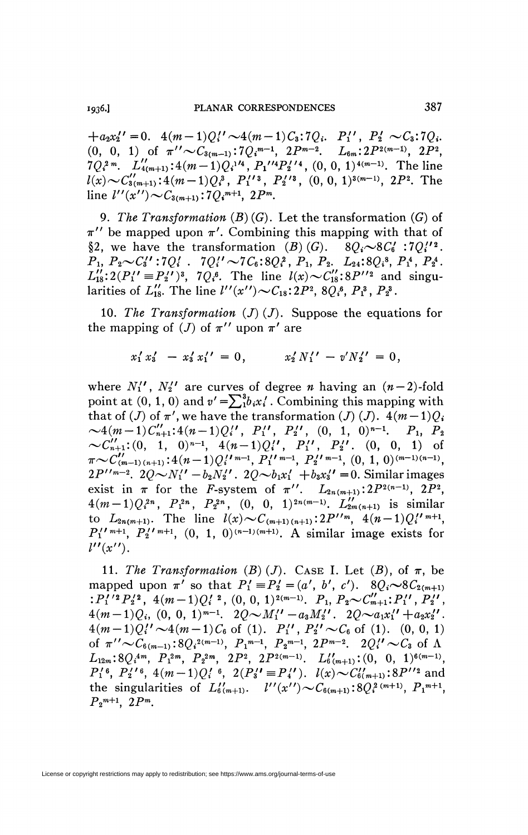$+a_2x_2''=0.$   $4(m-1)Q_1'' \sim 4(m-1)C_3:7Q_i$ .  $P_1'', P_2' \sim C_3:7Q_i$ .  $(0, 0, 1)$  of  $\pi'' \sim C_{3(m-1)}$ :  $7Q_i^{m-1}$ ,  $2P^{m-2}$ .  $L_{6m}$ :  $2P^{2(m-1)}$ ,  $2P^2$ ,  $7Q_i^2$ <sup>m</sup>.  $L''_{4(m+1)}$ :  $4(m-1)Q_i^{1/4}$ ,  $P_1^{1/4}P_2^{1/4}$ ,  $(0, 0, 1)^{4(m-1)}$ . The line  $l(x) \sim C_{3(m+1)}''$ : 4(m - 1) $Q_i^3$ ,  $P_1''^3$ ,  $P_2''^3$ , (0, 0, 1)<sup>3(m-1)</sup>, 2 $P^2$ . The line  $l''(x'') \sim C_{3(m+1)}$ : 7 $Q_i^{m+1}$ , 2 $P^m$ .

9. The Transformation  $(B)(G)$ . Let the transformation  $(G)$  of  $\pi$ " be mapped upon  $\pi$ ". Combining this mapping with that of §2, we have the transformation (B)(G).  $8Q_i \sim 8C_6'$ :70''.  $P_1, P_2 \sim C_3'$ ':7 $Q_i'$ . 7 $Q_i' \sim 7C_6$ :8 $Q_i^2$ ,  $P_1$ ,  $P_2$ .  $L_{24}$ :8 $Q_i^3$ ,  $P_1^4$ ,  $P_2^4$ .<br> $L_{18}'':2(P_1' = P_2'')^3$ , 7 $Q_i^6$ . The line  $l(x) \sim C_{18}'':8P''^2$  and singularities of  $L_{18}'$ . The line  $l''(x'') \sim C_{18} : 2P^2$ ,  $8Q_i^6$ ,  $P_1^3$ ,  $P_2^3$ .

10. The Transformation  $(J)(J)$ . Suppose the equations for the mapping of (*J*) of  $\pi^{\prime\prime}$  upon  $\pi^{\prime}$  are

$$
x_1' x_3' - x_3' x_1' = 0, \qquad x_2' N_1' - v' N_2' = 0,
$$

where  $N''_1$ ,  $N''_2$  are curves of degree *n* having an  $(n-2)$ -fold point at (0, 1, 0) and  $v' = \sum_{i=1}^{3} b_i x'_i$ . Combining this mapping with that of (J) of  $\pi'$ , we have the transformation (J) (J).  $4(m-1)Q_i$  $\sim 4(m-1)C''_{n+1}:4(n-1)Q''_1$ ,  $P''_1$ ,  $P''_2$ ,  $(0, 1, 0)^{n-1}$ ,  $P_1$ ,  $P_2$ <br> $\sim C''_{n+1}: (0, 1, 0)^{n-1}$ ,  $4(n-1)Q''_1$ ,  $P''_1$ ,  $P''_2$ ,  $(0, 0, 1)$  of  $\pi \sim C''_{m-1}(n+1):4(n-1)Q''_1^{m-1}$ ,  $P''_1^{m-1}$ ,  $P''_2^{m-1}$ ,  $(0, 1, 0)^{(m-1)(n$  $2P''^{m-2}$ .  $2Q \sim N_1'' - b_2 N_2''$ .  $2Q \sim b_1 x_1' + b_3 x_3'' = 0$ . Similar images exist in  $\pi$  for the *F*-system of  $\pi''$ .  $L_{2n(m+1)}$ :  $2P^{2(n-1)}$ ,  $2P^2$ ,  $4(m-1)Q_i^{2n}, P_i^{2n}, P_2^{2n}, (0, 0, 1)^{2n(m-1)}. L''_{2m(n+1)}$  is similar to  $L_{2n(m+1)}$ . The line  $l(x) \sim C_{(m+1)(n+1)}$ :  $2P''^m$ ,  $4(n-1)Q''^{m+1}$ ,  $P_1''^{n+1}$ ,  $P_2''^{n+1}$ ,  $(0, 1, 0)^{(n-1)(m+1)}$ . A similar image exists for  $l''(x'')$ .

11. The Transformation (B) (J). CASE I. Let  $(B)$ , of  $\pi$ , be mapped upon  $\pi'$  so that  $P'_1 \equiv P'_2 = (a', b', c')$ .  $8Q_i \sim 8C_{2(m+1)}$  $:P_1'{}^{i_2}P_2'{}^{i_3}, 4(m-1)Q_i'{}^{i_2}, (0, 0, 1)^{2(m-1)}, P_1, P_2 \sim C''_{m+1} ; P_1'{}', P_2'{}',$  $4(m-1)Q_i$ ,  $(0, 0, 1)^{m-1}$ .  $2Q \sim M_1'' - a_3M_2''$ .  $2Q \sim a_1x_1'' + a_2x_2''$ .  $4(m-1)Q''_1 \sim 4(m-1)C_6$  of (1).  $P''_1$ ,  $P''_2 \sim C_6$  of (1). (0, 0, 1) of  $\pi'' \sim C_{6(m-1)}$ :  $8Q_i^{2(m-1)}$ ,  $P_1^{m-1}$ ,  $P_2^{m-1}$ ,  $2P^{m-2}$ .  $2Q_i'' \sim C_3$  of  $\Lambda$  $L_{12m}: 8Q_i^{4m}, P_1^{2m}, P_2^{2m}, 2P^2, 2P^{2(m-1)}. L_{6(m+1)}'':(0, 0, 1)^{6(m-1)},$  $P_1'$ <sup>6</sup>,  $P_2'$ ,  $P_3'$ ,  $4(m-1)Q_i'$ ,  $2(P_3' = P_4')$ .  $l(x) \sim C_{6(m+1)}'$ :  $8P''^2$  and the singularities of  $L''_{6(m+1)}$ .  $l''(x'') \sim C_{6(m+1)} : 8Q_i^{2(m+1)}, P_1^{m+1}$ ,  $P_2^{m+1}$ ,  $2P^m$ .